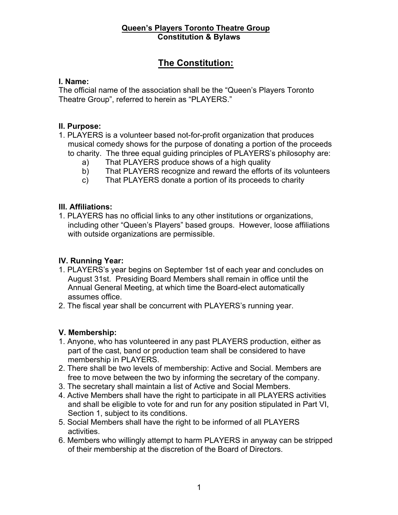# **The Constitution:**

## **I. Name:**

The official name of the association shall be the "Queen's Players Toronto Theatre Group", referred to herein as "PLAYERS."

## **II. Purpose:**

- 1. PLAYERS is a volunteer based not-for-profit organization that produces musical comedy shows for the purpose of donating a portion of the proceeds to charity. The three equal guiding principles of PLAYERS's philosophy are:
	- a) That PLAYERS produce shows of a high quality
	- b) That PLAYERS recognize and reward the efforts of its volunteers
	- c) That PLAYERS donate a portion of its proceeds to charity

## **III. Affiliations:**

1. PLAYERS has no official links to any other institutions or organizations, including other "Queen's Players" based groups. However, loose affiliations with outside organizations are permissible.

## **IV. Running Year:**

- 1. PLAYERS's year begins on September 1st of each year and concludes on August 31st. Presiding Board Members shall remain in office until the Annual General Meeting, at which time the Board-elect automatically assumes office.
- 2. The fiscal year shall be concurrent with PLAYERS's running year.

# **V. Membership:**

- 1. Anyone, who has volunteered in any past PLAYERS production, either as part of the cast, band or production team shall be considered to have membership in PLAYERS.
- 2. There shall be two levels of membership: Active and Social. Members are free to move between the two by informing the secretary of the company.
- 3. The secretary shall maintain a list of Active and Social Members.
- 4. Active Members shall have the right to participate in all PLAYERS activities and shall be eligible to vote for and run for any position stipulated in Part VI, Section 1, subject to its conditions.
- 5. Social Members shall have the right to be informed of all PLAYERS activities.
- 6. Members who willingly attempt to harm PLAYERS in anyway can be stripped of their membership at the discretion of the Board of Directors.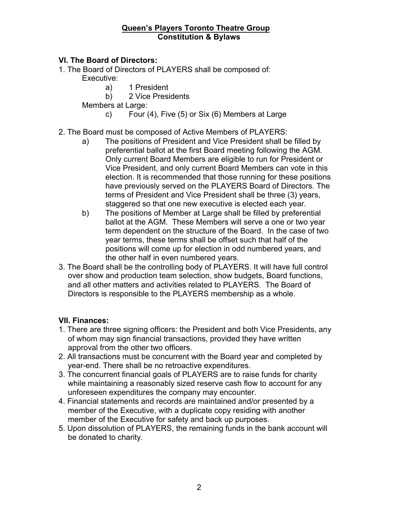## **VI. The Board of Directors:**

- 1. The Board of Directors of PLAYERS shall be composed of: Executive:
	- a) 1 President
	- b) 2 Vice Presidents

Members at Large:

c) Four (4), Five (5) or Six (6) Members at Large

## 2. The Board must be composed of Active Members of PLAYERS:

- a) The positions of President and Vice President shall be filled by preferential ballot at the first Board meeting following the AGM. Only current Board Members are eligible to run for President or Vice President, and only current Board Members can vote in this election. It is recommended that those running for these positions have previously served on the PLAYERS Board of Directors. The terms of President and Vice President shall be three (3) years, staggered so that one new executive is elected each year.
- b) The positions of Member at Large shall be filled by preferential ballot at the AGM. These Members will serve a one or two year term dependent on the structure of the Board. In the case of two year terms, these terms shall be offset such that half of the positions will come up for election in odd numbered years, and the other half in even numbered years.
- 3. The Board shall be the controlling body of PLAYERS. It will have full control over show and production team selection, show budgets, Board functions, and all other matters and activities related to PLAYERS. The Board of Directors is responsible to the PLAYERS membership as a whole.

# **VII. Finances:**

- 1. There are three signing officers: the President and both Vice Presidents, any of whom may sign financial transactions, provided they have written approval from the other two officers.
- 2. All transactions must be concurrent with the Board year and completed by year-end. There shall be no retroactive expenditures.
- 3. The concurrent financial goals of PLAYERS are to raise funds for charity while maintaining a reasonably sized reserve cash flow to account for any unforeseen expenditures the company may encounter.
- 4. Financial statements and records are maintained and/or presented by a member of the Executive, with a duplicate copy residing with another member of the Executive for safety and back up purposes.
- 5. Upon dissolution of PLAYERS, the remaining funds in the bank account will be donated to charity.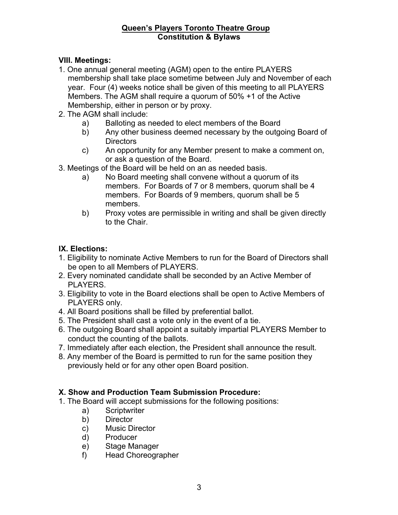## **VIII. Meetings:**

- 1. One annual general meeting (AGM) open to the entire PLAYERS membership shall take place sometime between July and November of each year. Four (4) weeks notice shall be given of this meeting to all PLAYERS Members. The AGM shall require a quorum of 50% +1 of the Active Membership, either in person or by proxy.
- 2. The AGM shall include:
	- a) Balloting as needed to elect members of the Board
	- b) Any other business deemed necessary by the outgoing Board of **Directors**
	- c) An opportunity for any Member present to make a comment on, or ask a question of the Board.
- 3. Meetings of the Board will be held on an as needed basis.
	- a) No Board meeting shall convene without a quorum of its members. For Boards of 7 or 8 members, quorum shall be 4 members. For Boards of 9 members, quorum shall be 5 members.
	- b) Proxy votes are permissible in writing and shall be given directly to the Chair.

## **IX. Elections:**

- 1. Eligibility to nominate Active Members to run for the Board of Directors shall be open to all Members of PLAYERS.
- 2. Every nominated candidate shall be seconded by an Active Member of PLAYERS.
- 3. Eligibility to vote in the Board elections shall be open to Active Members of PLAYERS only.
- 4. All Board positions shall be filled by preferential ballot.
- 5. The President shall cast a vote only in the event of a tie.
- 6. The outgoing Board shall appoint a suitably impartial PLAYERS Member to conduct the counting of the ballots.
- 7. Immediately after each election, the President shall announce the result.
- 8. Any member of the Board is permitted to run for the same position they previously held or for any other open Board position.

## **X. Show and Production Team Submission Procedure:**

- 1. The Board will accept submissions for the following positions:
	- a) Scriptwriter
	- b) Director
	- c) Music Director
	- d) Producer
	- e) Stage Manager
	- f) Head Choreographer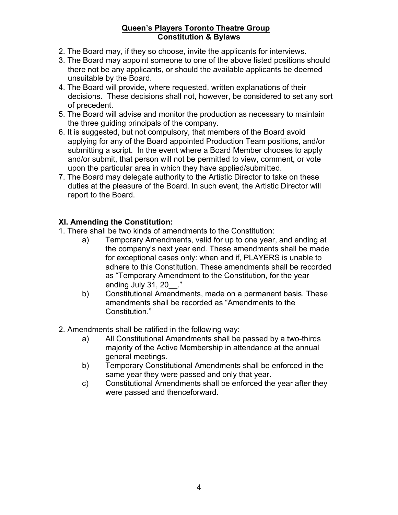- 2. The Board may, if they so choose, invite the applicants for interviews.
- 3. The Board may appoint someone to one of the above listed positions should there not be any applicants, or should the available applicants be deemed unsuitable by the Board.
- 4. The Board will provide, where requested, written explanations of their decisions. These decisions shall not, however, be considered to set any sort of precedent.
- 5. The Board will advise and monitor the production as necessary to maintain the three guiding principals of the company.
- 6. It is suggested, but not compulsory, that members of the Board avoid applying for any of the Board appointed Production Team positions, and/or submitting a script. In the event where a Board Member chooses to apply and/or submit, that person will not be permitted to view, comment, or vote upon the particular area in which they have applied/submitted.
- 7. The Board may delegate authority to the Artistic Director to take on these duties at the pleasure of the Board. In such event, the Artistic Director will report to the Board.

## **XI. Amending the Constitution:**

- 1. There shall be two kinds of amendments to the Constitution:
	- a) Temporary Amendments, valid for up to one year, and ending at the company's next year end. These amendments shall be made for exceptional cases only: when and if, PLAYERS is unable to adhere to this Constitution. These amendments shall be recorded as "Temporary Amendment to the Constitution, for the year ending July 31, 20 ."
	- b) Constitutional Amendments, made on a permanent basis. These amendments shall be recorded as "Amendments to the Constitution."
- 2. Amendments shall be ratified in the following way:
	- a) All Constitutional Amendments shall be passed by a two-thirds majority of the Active Membership in attendance at the annual general meetings.
	- b) Temporary Constitutional Amendments shall be enforced in the same year they were passed and only that year.
	- c) Constitutional Amendments shall be enforced the year after they were passed and thenceforward.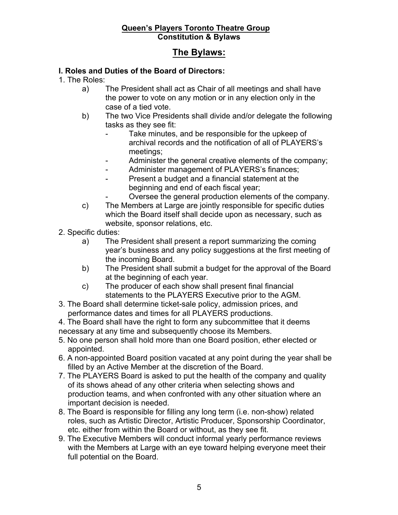# **The Bylaws:**

## **I. Roles and Duties of the Board of Directors:**

1. The Roles:

- a) The President shall act as Chair of all meetings and shall have the power to vote on any motion or in any election only in the case of a tied vote.
- b) The two Vice Presidents shall divide and/or delegate the following tasks as they see fit:
	- Take minutes, and be responsible for the upkeep of archival records and the notification of all of PLAYERS's meetings;
	- Administer the general creative elements of the company;
	- Administer management of PLAYERS's finances;
	- Present a budget and a financial statement at the beginning and end of each fiscal year;
		- Oversee the general production elements of the company.
- c) The Members at Large are jointly responsible for specific duties which the Board itself shall decide upon as necessary, such as website, sponsor relations, etc.
- 2. Specific duties:
	- a) The President shall present a report summarizing the coming year's business and any policy suggestions at the first meeting of the incoming Board.
	- b) The President shall submit a budget for the approval of the Board at the beginning of each year.
	- c) The producer of each show shall present final financial statements to the PLAYERS Executive prior to the AGM.
- 3. The Board shall determine ticket-sale policy, admission prices, and performance dates and times for all PLAYERS productions.
- 4. The Board shall have the right to form any subcommittee that it deems necessary at any time and subsequently choose its Members.
- 5. No one person shall hold more than one Board position, ether elected or appointed.
- 6. A non-appointed Board position vacated at any point during the year shall be filled by an Active Member at the discretion of the Board.
- 7. The PLAYERS Board is asked to put the health of the company and quality of its shows ahead of any other criteria when selecting shows and production teams, and when confronted with any other situation where an important decision is needed.
- 8. The Board is responsible for filling any long term (i.e. non-show) related roles, such as Artistic Director, Artistic Producer, Sponsorship Coordinator, etc. either from within the Board or without, as they see fit.
- 9. The Executive Members will conduct informal yearly performance reviews with the Members at Large with an eye toward helping everyone meet their full potential on the Board.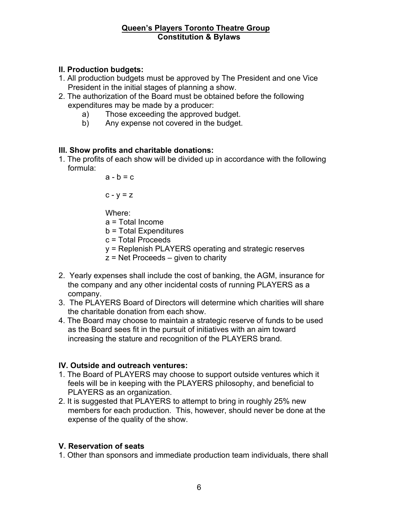## **II. Production budgets:**

- 1. All production budgets must be approved by The President and one Vice President in the initial stages of planning a show.
- 2. The authorization of the Board must be obtained before the following expenditures may be made by a producer:
	- a) Those exceeding the approved budget.
	- b) Any expense not covered in the budget.

#### **III. Show profits and charitable donations:**

1. The profits of each show will be divided up in accordance with the following formula:

 $a - b = c$ 

 $c - v = z$ 

Where:

a = Total Income

- b = Total Expenditures
- c = Total Proceeds
- y = Replenish PLAYERS operating and strategic reserves
- $z$  = Net Proceeds given to charity
- 2. Yearly expenses shall include the cost of banking, the AGM, insurance for the company and any other incidental costs of running PLAYERS as a company.
- 3. The PLAYERS Board of Directors will determine which charities will share the charitable donation from each show.
- 4. The Board may choose to maintain a strategic reserve of funds to be used as the Board sees fit in the pursuit of initiatives with an aim toward increasing the stature and recognition of the PLAYERS brand.

#### **IV. Outside and outreach ventures:**

- 1. The Board of PLAYERS may choose to support outside ventures which it feels will be in keeping with the PLAYERS philosophy, and beneficial to PLAYERS as an organization.
- 2. It is suggested that PLAYERS to attempt to bring in roughly 25% new members for each production. This, however, should never be done at the expense of the quality of the show.

#### **V. Reservation of seats**

1. Other than sponsors and immediate production team individuals, there shall